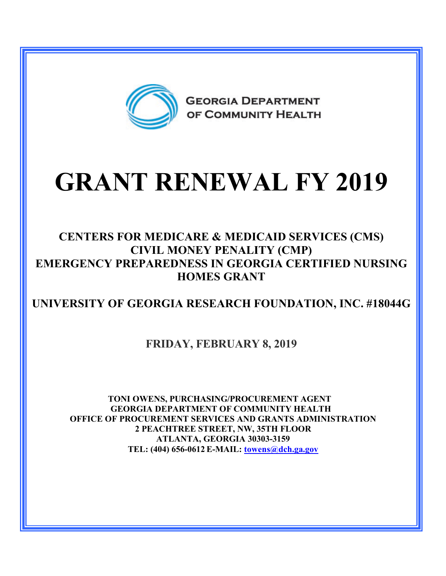

# **GRANT RENEWAL FY 2019**

#### **CENTERS FOR MEDICARE & MEDICAID SERVICES (CMS) CIVIL MONEY PENALITY (CMP) EMERGENCY PREPAREDNESS IN GEORGIA CERTIFIED NURSING HOMES GRANT**

### **UNIVERSITY OF GEORGIA RESEARCH FOUNDATION, INC. #18044G**

#### **FRIDAY, FEBRUARY 8, 2019**

**TONI OWENS, PURCHASING/PROCUREMENT AGENT GEORGIA DEPARTMENT OF COMMUNITY HEALTH OFFICE OF PROCUREMENT SERVICES AND GRANTS ADMINISTRATION 2 PEACHTREE STREET, NW, 35TH FLOOR ATLANTA, GEORGIA 30303-3159 TEL: (404) 656-0612 E-MAIL: [towens@dch.ga.gov](mailto:towens@dch.ga.gov)**